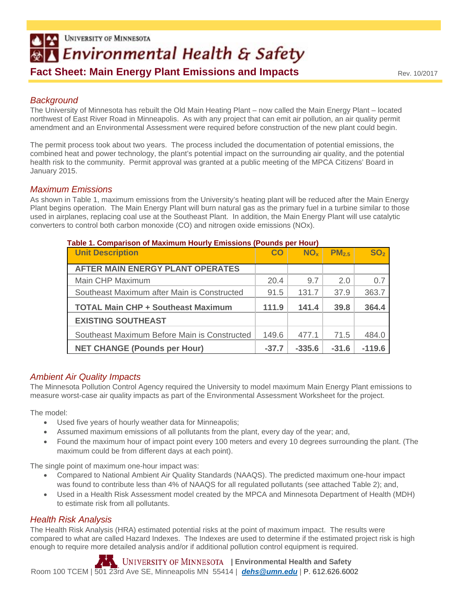# **UNIVERSITY OF MINNESOTA By Environmental Health & Safety Fact Sheet: Main Energy Plant Emissions and Impacts**

Rev. 10/2017

# *Background*

The University of Minnesota has rebuilt the Old Main Heating Plant – now called the Main Energy Plant – located northwest of East River Road in Minneapolis. As with any project that can emit air pollution, an air quality permit amendment and an Environmental Assessment were required before construction of the new plant could begin.

The permit process took about two years. The process included the documentation of potential emissions, the combined heat and power technology, the plant's potential impact on the surrounding air quality, and the potential health risk to the community. Permit approval was granted at a public meeting of the MPCA Citizens' Board in January 2015.

# *Maximum Emissions*

As shown in Table 1, maximum emissions from the University's heating plant will be reduced after the Main Energy Plant begins operation. The Main Energy Plant will burn natural gas as the primary fuel in a turbine similar to those used in airplanes, replacing coal use at the Southeast Plant. In addition, the Main Energy Plant will use catalytic converters to control both carbon monoxide (CO) and nitrogen oxide emissions (NOx).

| Table 1. Comparison of Maximum Hourly Emissions (Pounds per Hour) |           |                 |                   |                 |  |  |  |
|-------------------------------------------------------------------|-----------|-----------------|-------------------|-----------------|--|--|--|
| <b>Unit Description</b>                                           | <b>CO</b> | NO <sub>x</sub> | PM <sub>2.5</sub> | SO <sub>2</sub> |  |  |  |
|                                                                   |           |                 |                   |                 |  |  |  |
| <b>AFTER MAIN ENERGY PLANT OPERATES</b>                           |           |                 |                   |                 |  |  |  |
| Main CHP Maximum                                                  | 20.4      | 9.7             | 2.0               | 0.7             |  |  |  |
| Southeast Maximum after Main is Constructed                       | 91.5      | 131.7           | 37.9              | 363.7           |  |  |  |
| <b>TOTAL Main CHP + Southeast Maximum</b>                         |           | 141.4           | 39.8              | 364.4           |  |  |  |
| <b>EXISTING SOUTHEAST</b>                                         |           |                 |                   |                 |  |  |  |
| Southeast Maximum Before Main is Constructed                      |           | 477.1           | 71.5              | 484.0           |  |  |  |
| <b>NET CHANGE (Pounds per Hour)</b>                               | $-37.7$   | $-335.6$        | $-31.6$           | $-119.6$        |  |  |  |

#### **Table 1. Comparison of Maximum Hourly Emissions (Pounds per Hour)**

# *Ambient Air Quality Impacts*

The Minnesota Pollution Control Agency required the University to model maximum Main Energy Plant emissions to measure worst-case air quality impacts as part of the Environmental Assessment Worksheet for the project.

The model:

- Used five years of hourly weather data for Minneapolis;
- Assumed maximum emissions of all pollutants from the plant, every day of the year; and,
- Found the maximum hour of impact point every 100 meters and every 10 degrees surrounding the plant. (The maximum could be from different days at each point).

The single point of maximum one-hour impact was:

- Compared to National Ambient Air Quality Standards (NAAQS). The predicted maximum one-hour impact was found to contribute less than 4% of NAAQS for all regulated pollutants (see attached Table 2); and,
- Used in a Health Risk Assessment model created by the MPCA and Minnesota Department of Health (MDH) to estimate risk from all pollutants.

## *Health Risk Analysis*

The Health Risk Analysis (HRA) estimated potential risks at the point of maximum impact. The results were compared to what are called Hazard Indexes. The Indexes are used to determine if the estimated project risk is high enough to require more detailed analysis and/or if additional pollution control equipment is required.

**Environmental Health and Safety I** Environmental Health and Safety Room 100 TCEM | 501 23rd Ave SE, Minneapolis MN 55414 | *dehs@umn.edu* | P. 612.626.6002